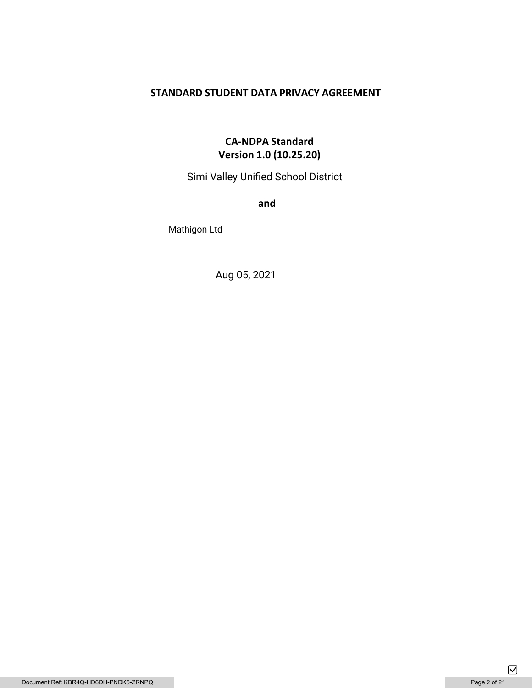# **STANDARD STUDENT DATA PRIVACY AGREEMENT**

# **CA-NDPA Standard Version 1.0 (10.25.20)**

Simi Valley Unified School District

**and** 

Mathigon Ltd

Aug 05, 2021

 $\boxed{\mathbf{\mathsf{v}}}$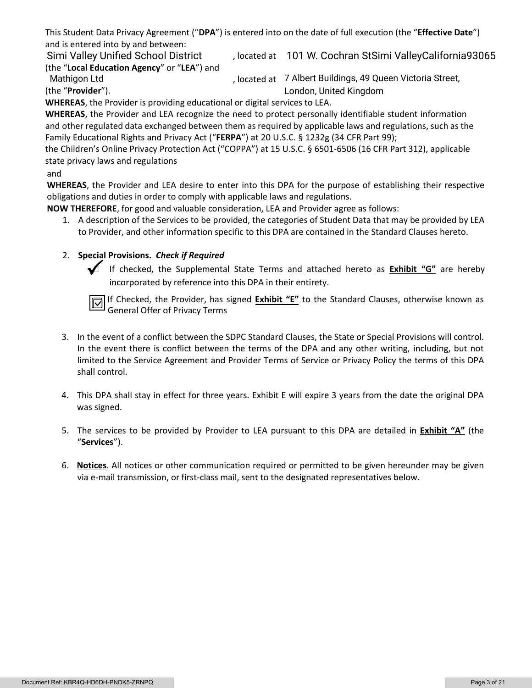This Student Data Privacy Agreement ("**DPA**") is entered into on the date of full execution (the "**Effective Date**") and is entered into by and between:

Simi Valley Unified School District (build at 101 W. Cochran StSimi ValleyCalifornia93065 (the "**Local Education Agency**" or "**LEA**") and

Mathigon Ltd

, located at 7 Albert Buildings, 49 Queen Victoria Street, London, United Kingdom

(the "**Provider**"). **WHEREAS**, the Provider is providing educational or digital services to LEA.

**WHEREAS**, the Provider and LEA recognize the need to protect personally identifiable student information and other regulated data exchanged between them as required by applicable laws and regulations, such as the Family Educational Rights and Privacy Act ("**FERPA**") at 20 U.S.C. § 1232g (34 CFR Part 99);

the Children's Online Privacy Protection Act ("COPPA") at 15 U.S.C. § 6501-6506 (16 CFR Part 312), applicable state privacy laws and regulations

# and

**WHEREAS**, the Provider and LEA desire to enter into this DPA for the purpose of establishing their respective obligations and duties in order to comply with applicable laws and regulations.

**NOW THEREFORE**, for good and valuable consideration, LEA and Provider agree as follows:

1. A description of the Services to be provided, the categories of Student Data that may be provided by LEA to Provider, and other information specific to this DPA are contained in the Standard Clauses hereto.

# 2. **Special Provisions.** *Check if Required*

 If checked, the Supplemental State Terms and attached hereto as **Exhibit "G"** are hereby incorporated by reference into this DPA in their entirety.

If Checked, the Provider, has signed **Exhibit "E"** to the Standard Clauses, otherwise known as General Offer of Privacy Terms

- 3. In the event of a conflict between the SDPC Standard Clauses, the State or Special Provisions will control. In the event there is conflict between the terms of the DPA and any other writing, including, but not limited to the Service Agreement and Provider Terms of Service or Privacy Policy the terms of this DPA shall control.
- 4. This DPA shall stay in effect for three years. Exhibit E will expire 3 years from the date the original DPA was signed.
- 5. The services to be provided by Provider to LEA pursuant to this DPA are detailed in **Exhibit "A"** (the "**Services**").
- 6. **Notices**. All notices or other communication required or permitted to be given hereunder may be given via e-mail transmission, or first-class mail, sent to the designated representatives below.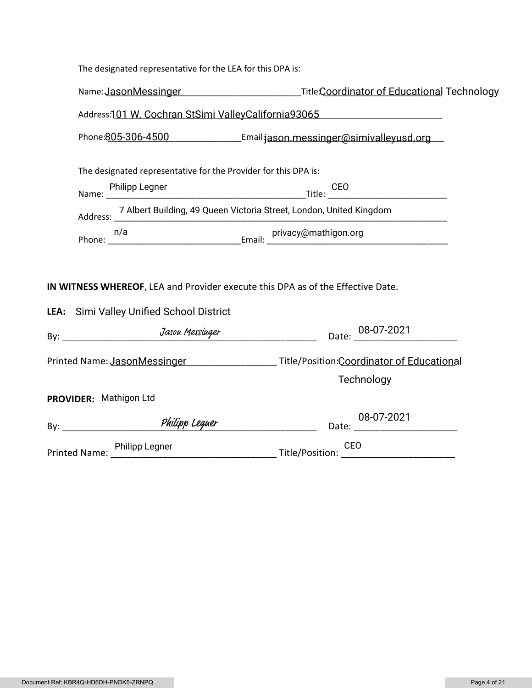| The designated representative for the LEA for this DPA is:                                                                  |                                                                                                              |  |  |
|-----------------------------------------------------------------------------------------------------------------------------|--------------------------------------------------------------------------------------------------------------|--|--|
|                                                                                                                             | Name: JasonMessinger ______________________________TitleCoordinator of Educational Technology                |  |  |
| Address:101 W. Cochran StSimi ValleyCalifornia93065                                                                         |                                                                                                              |  |  |
| Phone:805-306-4500 Email:jason.messinger@simivalleyusd.org                                                                  |                                                                                                              |  |  |
| The designated representative for the Provider for this DPA is:                                                             |                                                                                                              |  |  |
|                                                                                                                             |                                                                                                              |  |  |
| Address: 7 Albert Building, 49 Queen Victoria Street, London, United Kingdom                                                |                                                                                                              |  |  |
|                                                                                                                             |                                                                                                              |  |  |
| IN WITNESS WHEREOF, LEA and Provider execute this DPA as of the Effective Date.<br>LEA: Simi Valley Unified School District |                                                                                                              |  |  |
|                                                                                                                             | Date: 08-07-2021                                                                                             |  |  |
|                                                                                                                             | Printed Name: JasonMessinger _______________________ Title/Position:Coordinator of Educational<br>Technology |  |  |
| PROVIDER: Mathigon Ltd                                                                                                      |                                                                                                              |  |  |
| By: Philipp Leguer                                                                                                          |                                                                                                              |  |  |
|                                                                                                                             | Printed Name: Philipp Legner Title/Position: CEO<br>CEO                                                      |  |  |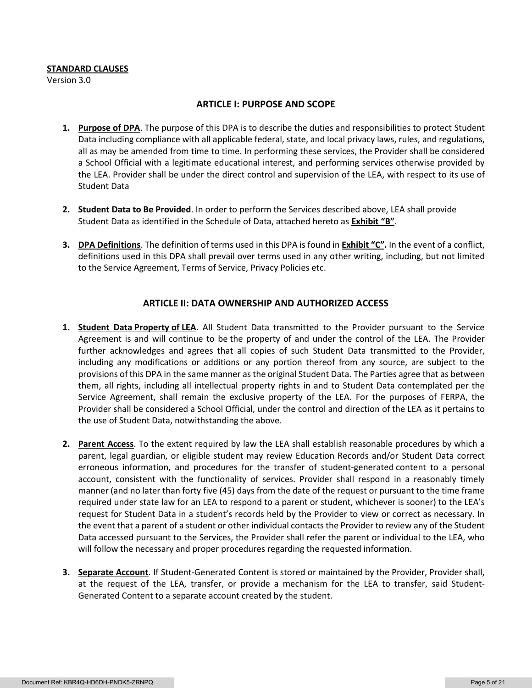#### **STANDARD CLAUSES**

Version 3.0

#### **ARTICLE I: PURPOSE AND SCOPE**

- **1. Purpose of DPA**. The purpose of this DPA is to describe the duties and responsibilities to protect Student Data including compliance with all applicable federal, state, and local privacy laws, rules, and regulations, all as may be amended from time to time. In performing these services, the Provider shall be considered a School Official with a legitimate educational interest, and performing services otherwise provided by the LEA. Provider shall be under the direct control and supervision of the LEA, with respect to its use of Student Data
- **2. Student Data to Be Provided**. In order to perform the Services described above, LEA shall provide Student Data as identified in the Schedule of Data, attached hereto as **Exhibit "B"**.
- **3. DPA Definitions**. The definition of terms used in this DPA is found in **Exhibit "C".** In the event of a conflict, definitions used in this DPA shall prevail over terms used in any other writing, including, but not limited to the Service Agreement, Terms of Service, Privacy Policies etc.

### **ARTICLE II: DATA OWNERSHIP AND AUTHORIZED ACCESS**

- **1. Student Data Property of LEA**. All Student Data transmitted to the Provider pursuant to the Service Agreement is and will continue to be the property of and under the control of the LEA. The Provider further acknowledges and agrees that all copies of such Student Data transmitted to the Provider, including any modifications or additions or any portion thereof from any source, are subject to the provisions of this DPA in the same manner as the original Student Data. The Parties agree that as between them, all rights, including all intellectual property rights in and to Student Data contemplated per the Service Agreement, shall remain the exclusive property of the LEA. For the purposes of FERPA, the Provider shall be considered a School Official, under the control and direction of the LEA as it pertains to the use of Student Data, notwithstanding the above.
- **2. Parent Access**. To the extent required by law the LEA shall establish reasonable procedures by which a parent, legal guardian, or eligible student may review Education Records and/or Student Data correct erroneous information, and procedures for the transfer of student-generated content to a personal account, consistent with the functionality of services. Provider shall respond in a reasonably timely manner (and no later than forty five (45) days from the date of the request or pursuant to the time frame required under state law for an LEA to respond to a parent or student, whichever is sooner) to the LEA's request for Student Data in a student's records held by the Provider to view or correct as necessary. In the event that a parent of a student or other individual contacts the Provider to review any of the Student Data accessed pursuant to the Services, the Provider shall refer the parent or individual to the LEA, who will follow the necessary and proper procedures regarding the requested information.
- **3. Separate Account**. If Student-Generated Content is stored or maintained by the Provider, Provider shall, at the request of the LEA, transfer, or provide a mechanism for the LEA to transfer, said Student-Generated Content to a separate account created by the student.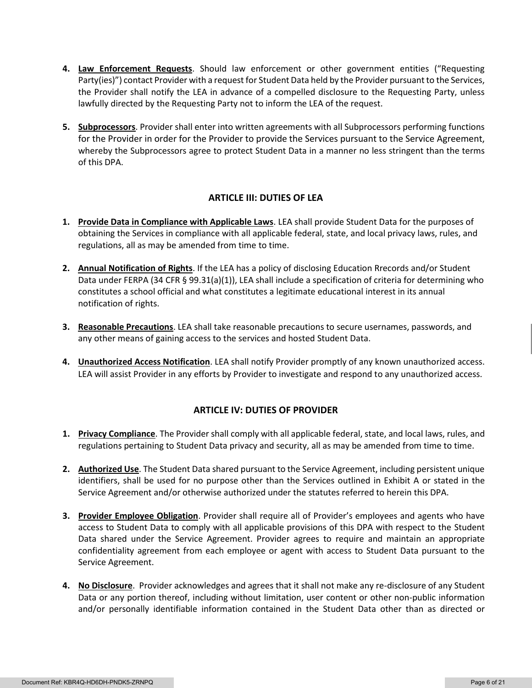- **4. Law Enforcement Requests**. Should law enforcement or other government entities ("Requesting Party(ies)") contact Provider with a request for Student Data held by the Provider pursuant to the Services, the Provider shall notify the LEA in advance of a compelled disclosure to the Requesting Party, unless lawfully directed by the Requesting Party not to inform the LEA of the request.
- **5. Subprocessors**. Provider shall enter into written agreements with all Subprocessors performing functions for the Provider in order for the Provider to provide the Services pursuant to the Service Agreement, whereby the Subprocessors agree to protect Student Data in a manner no less stringent than the terms of this DPA.

## **ARTICLE III: DUTIES OF LEA**

- **1. Provide Data in Compliance with Applicable Laws**. LEA shall provide Student Data for the purposes of obtaining the Services in compliance with all applicable federal, state, and local privacy laws, rules, and regulations, all as may be amended from time to time.
- **2. Annual Notification of Rights**. If the LEA has a policy of disclosing Education Rrecords and/or Student Data under FERPA (34 CFR § 99.31(a)(1)), LEA shall include a specification of criteria for determining who constitutes a school official and what constitutes a legitimate educational interest in its annual notification of rights.
- **3. Reasonable Precautions**. LEA shall take reasonable precautions to secure usernames, passwords, and any other means of gaining access to the services and hosted Student Data.
- **4. Unauthorized Access Notification**. LEA shall notify Provider promptly of any known unauthorized access. LEA will assist Provider in any efforts by Provider to investigate and respond to any unauthorized access.

## **ARTICLE IV: DUTIES OF PROVIDER**

- **1. Privacy Compliance**. The Provider shall comply with all applicable federal, state, and local laws, rules, and regulations pertaining to Student Data privacy and security, all as may be amended from time to time.
- **2. Authorized Use**. The Student Data shared pursuant to the Service Agreement, including persistent unique identifiers, shall be used for no purpose other than the Services outlined in Exhibit A or stated in the Service Agreement and/or otherwise authorized under the statutes referred to herein this DPA.
- **3. Provider Employee Obligation**. Provider shall require all of Provider's employees and agents who have access to Student Data to comply with all applicable provisions of this DPA with respect to the Student Data shared under the Service Agreement. Provider agrees to require and maintain an appropriate confidentiality agreement from each employee or agent with access to Student Data pursuant to the Service Agreement.
- **4. No Disclosure**. Provider acknowledges and agrees that it shall not make any re-disclosure of any Student Data or any portion thereof, including without limitation, user content or other non-public information and/or personally identifiable information contained in the Student Data other than as directed or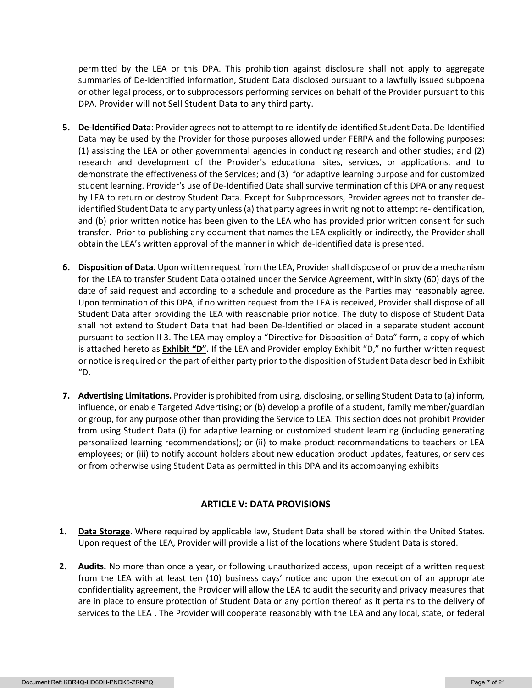permitted by the LEA or this DPA. This prohibition against disclosure shall not apply to aggregate summaries of De-Identified information, Student Data disclosed pursuant to a lawfully issued subpoena or other legal process, or to subprocessors performing services on behalf of the Provider pursuant to this DPA. Provider will not Sell Student Data to any third party.

- **5. De-Identified Data**: Provider agrees not to attempt to re-identify de-identified Student Data. De-Identified Data may be used by the Provider for those purposes allowed under FERPA and the following purposes: (1) assisting the LEA or other governmental agencies in conducting research and other studies; and (2) research and development of the Provider's educational sites, services, or applications, and to demonstrate the effectiveness of the Services; and (3) for adaptive learning purpose and for customized student learning. Provider's use of De-Identified Data shall survive termination of this DPA or any request by LEA to return or destroy Student Data. Except for Subprocessors, Provider agrees not to transfer deidentified Student Data to any party unless (a) that party agrees in writing not to attempt re-identification, and (b) prior written notice has been given to the LEA who has provided prior written consent for such transfer. Prior to publishing any document that names the LEA explicitly or indirectly, the Provider shall obtain the LEA's written approval of the manner in which de-identified data is presented.
- **6. Disposition of Data**. Upon written request from the LEA, Provider shall dispose of or provide a mechanism for the LEA to transfer Student Data obtained under the Service Agreement, within sixty (60) days of the date of said request and according to a schedule and procedure as the Parties may reasonably agree. Upon termination of this DPA, if no written request from the LEA is received, Provider shall dispose of all Student Data after providing the LEA with reasonable prior notice. The duty to dispose of Student Data shall not extend to Student Data that had been De-Identified or placed in a separate student account pursuant to section II 3. The LEA may employ a "Directive for Disposition of Data" form, a copy of which is attached hereto as **Exhibit "D"**. If the LEA and Provider employ Exhibit "D," no further written request or notice is required on the part of either party prior to the disposition of Student Data described in Exhibit  $"D.$
- **7. Advertising Limitations.** Provider is prohibited from using, disclosing, or selling Student Data to (a) inform, influence, or enable Targeted Advertising; or (b) develop a profile of a student, family member/guardian or group, for any purpose other than providing the Service to LEA. This section does not prohibit Provider from using Student Data (i) for adaptive learning or customized student learning (including generating personalized learning recommendations); or (ii) to make product recommendations to teachers or LEA employees; or (iii) to notify account holders about new education product updates, features, or services or from otherwise using Student Data as permitted in this DPA and its accompanying exhibits

## **ARTICLE V: DATA PROVISIONS**

- **1. Data Storage**. Where required by applicable law, Student Data shall be stored within the United States. Upon request of the LEA, Provider will provide a list of the locations where Student Data is stored.
- **2. Audits.** No more than once a year, or following unauthorized access, upon receipt of a written request from the LEA with at least ten (10) business days' notice and upon the execution of an appropriate confidentiality agreement, the Provider will allow the LEA to audit the security and privacy measures that are in place to ensure protection of Student Data or any portion thereof as it pertains to the delivery of services to the LEA . The Provider will cooperate reasonably with the LEA and any local, state, or federal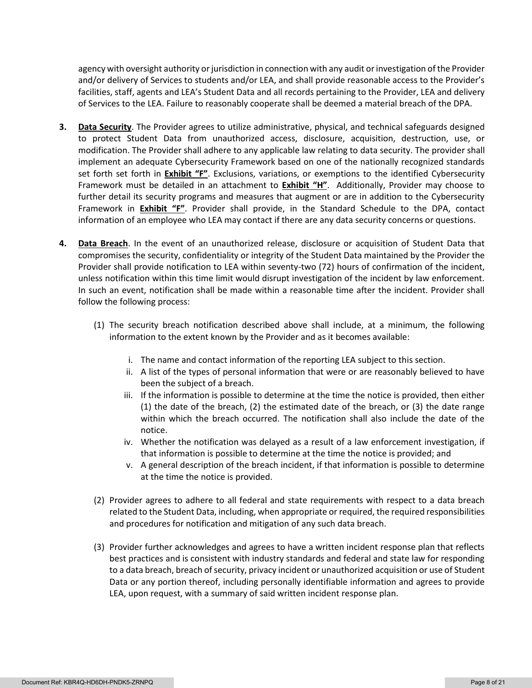agency with oversight authority or jurisdiction in connection with any audit or investigation of the Provider and/or delivery of Services to students and/or LEA, and shall provide reasonable access to the Provider's facilities, staff, agents and LEA's Student Data and all records pertaining to the Provider, LEA and delivery of Services to the LEA. Failure to reasonably cooperate shall be deemed a material breach of the DPA.

- **3. Data Security**. The Provider agrees to utilize administrative, physical, and technical safeguards designed to protect Student Data from unauthorized access, disclosure, acquisition, destruction, use, or modification. The Provider shall adhere to any applicable law relating to data security. The provider shall implement an adequate Cybersecurity Framework based on one of the nationally recognized standards set forth set forth in **Exhibit "F"**. Exclusions, variations, or exemptions to the identified Cybersecurity Framework must be detailed in an attachment to **Exhibit "H"**. Additionally, Provider may choose to further detail its security programs and measures that augment or are in addition to the Cybersecurity Framework in **Exhibit "F"**. Provider shall provide, in the Standard Schedule to the DPA, contact information of an employee who LEA may contact if there are any data security concerns or questions.
- **4. Data Breach**. In the event of an unauthorized release, disclosure or acquisition of Student Data that compromises the security, confidentiality or integrity of the Student Data maintained by the Provider the Provider shall provide notification to LEA within seventy-two (72) hours of confirmation of the incident, unless notification within this time limit would disrupt investigation of the incident by law enforcement. In such an event, notification shall be made within a reasonable time after the incident. Provider shall follow the following process:
	- (1) The security breach notification described above shall include, at a minimum, the following information to the extent known by the Provider and as it becomes available:
		- i. The name and contact information of the reporting LEA subject to this section.
		- ii. A list of the types of personal information that were or are reasonably believed to have been the subject of a breach.
		- iii. If the information is possible to determine at the time the notice is provided, then either (1) the date of the breach, (2) the estimated date of the breach, or (3) the date range within which the breach occurred. The notification shall also include the date of the notice.
		- iv. Whether the notification was delayed as a result of a law enforcement investigation, if that information is possible to determine at the time the notice is provided; and
		- v. A general description of the breach incident, if that information is possible to determine at the time the notice is provided.
	- (2) Provider agrees to adhere to all federal and state requirements with respect to a data breach related to the Student Data, including, when appropriate or required, the required responsibilities and procedures for notification and mitigation of any such data breach.
	- (3) Provider further acknowledges and agrees to have a written incident response plan that reflects best practices and is consistent with industry standards and federal and state law for responding to a data breach, breach of security, privacy incident or unauthorized acquisition or use of Student Data or any portion thereof, including personally identifiable information and agrees to provide LEA, upon request, with a summary of said written incident response plan.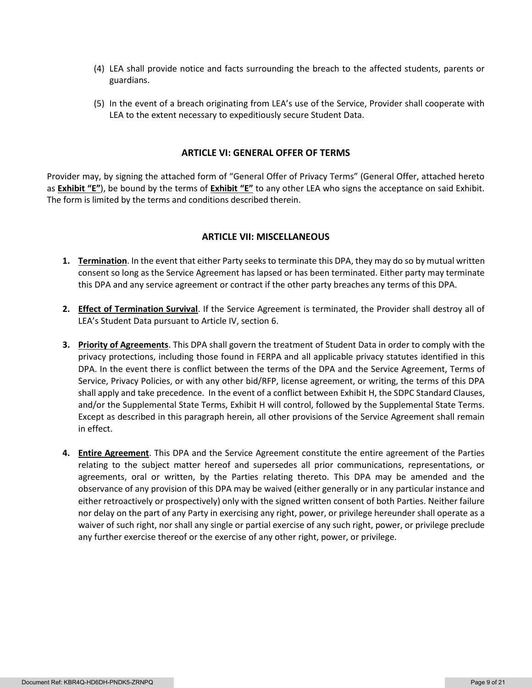- (4) LEA shall provide notice and facts surrounding the breach to the affected students, parents or guardians.
- (5) In the event of a breach originating from LEA's use of the Service, Provider shall cooperate with LEA to the extent necessary to expeditiously secure Student Data.

#### **ARTICLE VI: GENERAL OFFER OF TERMS**

Provider may, by signing the attached form of "General Offer of Privacy Terms" (General Offer, attached hereto as **Exhibit "E"**), be bound by the terms of **Exhibit "E"** to any other LEA who signs the acceptance on said Exhibit. The form is limited by the terms and conditions described therein.

#### **ARTICLE VII: MISCELLANEOUS**

- **1. Termination**. In the event that either Party seeks to terminate this DPA, they may do so by mutual written consent so long as the Service Agreement has lapsed or has been terminated. Either party may terminate this DPA and any service agreement or contract if the other party breaches any terms of this DPA.
- **2. Effect of Termination Survival**. If the Service Agreement is terminated, the Provider shall destroy all of LEA's Student Data pursuant to Article IV, section 6.
- **3. Priority of Agreements**. This DPA shall govern the treatment of Student Data in order to comply with the privacy protections, including those found in FERPA and all applicable privacy statutes identified in this DPA. In the event there is conflict between the terms of the DPA and the Service Agreement, Terms of Service, Privacy Policies, or with any other bid/RFP, license agreement, or writing, the terms of this DPA shall apply and take precedence. In the event of a conflict between Exhibit H, the SDPC Standard Clauses, and/or the Supplemental State Terms, Exhibit H will control, followed by the Supplemental State Terms. Except as described in this paragraph herein, all other provisions of the Service Agreement shall remain in effect.
- **4. Entire Agreement**. This DPA and the Service Agreement constitute the entire agreement of the Parties relating to the subject matter hereof and supersedes all prior communications, representations, or agreements, oral or written, by the Parties relating thereto. This DPA may be amended and the observance of any provision of this DPA may be waived (either generally or in any particular instance and either retroactively or prospectively) only with the signed written consent of both Parties. Neither failure nor delay on the part of any Party in exercising any right, power, or privilege hereunder shall operate as a waiver of such right, nor shall any single or partial exercise of any such right, power, or privilege preclude any further exercise thereof or the exercise of any other right, power, or privilege.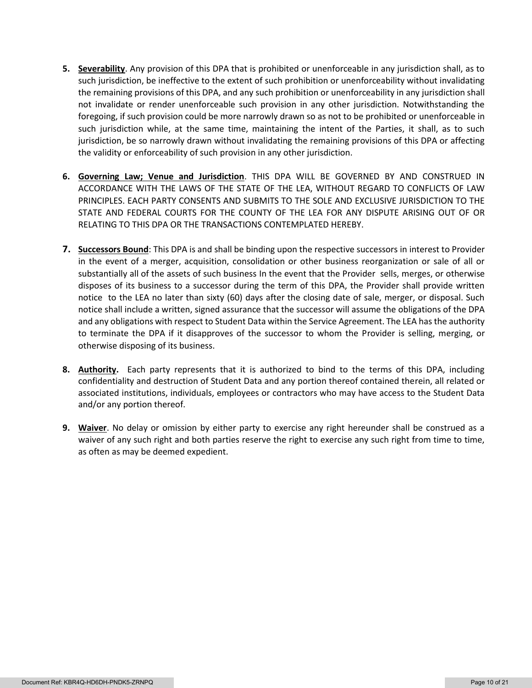- **5. Severability**. Any provision of this DPA that is prohibited or unenforceable in any jurisdiction shall, as to such jurisdiction, be ineffective to the extent of such prohibition or unenforceability without invalidating the remaining provisions of this DPA, and any such prohibition or unenforceability in any jurisdiction shall not invalidate or render unenforceable such provision in any other jurisdiction. Notwithstanding the foregoing, if such provision could be more narrowly drawn so as not to be prohibited or unenforceable in such jurisdiction while, at the same time, maintaining the intent of the Parties, it shall, as to such jurisdiction, be so narrowly drawn without invalidating the remaining provisions of this DPA or affecting the validity or enforceability of such provision in any other jurisdiction.
- **6. Governing Law; Venue and Jurisdiction**. THIS DPA WILL BE GOVERNED BY AND CONSTRUED IN ACCORDANCE WITH THE LAWS OF THE STATE OF THE LEA, WITHOUT REGARD TO CONFLICTS OF LAW PRINCIPLES. EACH PARTY CONSENTS AND SUBMITS TO THE SOLE AND EXCLUSIVE JURISDICTION TO THE STATE AND FEDERAL COURTS FOR THE COUNTY OF THE LEA FOR ANY DISPUTE ARISING OUT OF OR RELATING TO THIS DPA OR THE TRANSACTIONS CONTEMPLATED HEREBY.
- **7. Successors Bound**: This DPA is and shall be binding upon the respective successors in interest to Provider in the event of a merger, acquisition, consolidation or other business reorganization or sale of all or substantially all of the assets of such business In the event that the Provider sells, merges, or otherwise disposes of its business to a successor during the term of this DPA, the Provider shall provide written notice to the LEA no later than sixty (60) days after the closing date of sale, merger, or disposal. Such notice shall include a written, signed assurance that the successor will assume the obligations of the DPA and any obligations with respect to Student Data within the Service Agreement. The LEA has the authority to terminate the DPA if it disapproves of the successor to whom the Provider is selling, merging, or otherwise disposing of its business.
- **8. Authority.** Each party represents that it is authorized to bind to the terms of this DPA, including confidentiality and destruction of Student Data and any portion thereof contained therein, all related or associated institutions, individuals, employees or contractors who may have access to the Student Data and/or any portion thereof.
- **9. Waiver**. No delay or omission by either party to exercise any right hereunder shall be construed as a waiver of any such right and both parties reserve the right to exercise any such right from time to time, as often as may be deemed expedient.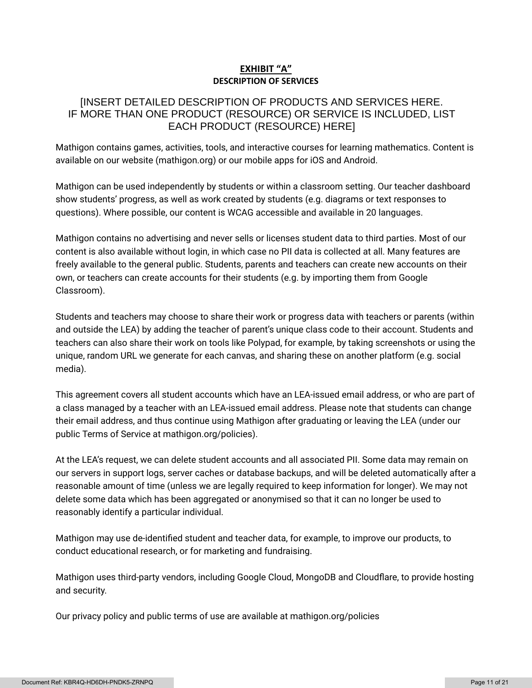## **EXHIBIT "A" DESCRIPTION OF SERVICES**

# [INSERT DETAILED DESCRIPTION OF PRODUCTS AND SERVICES HERE. IF MORE THAN ONE PRODUCT (RESOURCE) OR SERVICE IS INCLUDED, LIST EACH PRODUCT (RESOURCE) HERE]

Mathigon contains games, activities, tools, and interactive courses for learning mathematics. Content is available on our website (mathigon.org) or our mobile apps for iOS and Android.

Mathigon can be used independently by students or within a classroom setting. Our teacher dashboard show students' progress, as well as work created by students (e.g. diagrams or text responses to questions). Where possible, our content is WCAG accessible and available in 20 languages.

Mathigon contains no advertising and never sells or licenses student data to third parties. Most of our content is also available without login, in which case no PII data is collected at all. Many features are freely available to the general public. Students, parents and teachers can create new accounts on their own, or teachers can create accounts for their students (e.g. by importing them from Google Classroom).

Students and teachers may choose to share their work or progress data with teachers or parents (within and outside the LEA) by adding the teacher of parent's unique class code to their account. Students and teachers can also share their work on tools like Polypad, for example, by taking screenshots or using the unique, random URL we generate for each canvas, and sharing these on another platform (e.g. social media).

This agreement covers all student accounts which have an LEA-issued email address, or who are part of a class managed by a teacher with an LEA-issued email address. Please note that students can change their email address, and thus continue using Mathigon after graduating or leaving the LEA (under our public Terms of Service at mathigon.org/policies).

At the LEA's request, we can delete student accounts and all associated PII. Some data may remain on our servers in support logs, server caches or database backups, and will be deleted automatically after a reasonable amount of time (unless we are legally required to keep information for longer). We may not delete some data which has been aggregated or anonymised so that it can no longer be used to reasonably identify a particular individual.

Mathigon may use de-identified student and teacher data, for example, to improve our products, to conduct educational research, or for marketing and fundraising.

Mathigon uses third-party vendors, including Google Cloud, MongoDB and Cloudflare, to provide hosting and security.

Our privacy policy and public terms of use are available at mathigon.org/policies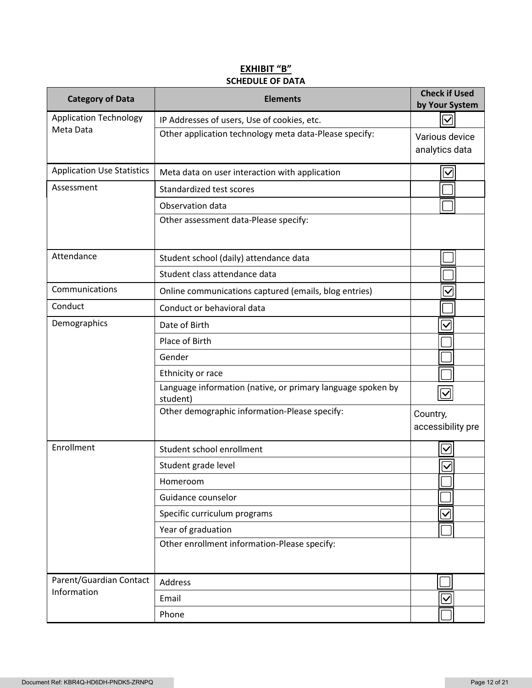# **EXHIBIT "B" SCHEDULE OF DATA**

| <b>Category of Data</b>           | <b>Elements</b>                                                         | <b>Check if Used</b><br>by Your System |
|-----------------------------------|-------------------------------------------------------------------------|----------------------------------------|
| <b>Application Technology</b>     | IP Addresses of users, Use of cookies, etc.                             | $\bm{\vee}$                            |
| Meta Data                         | Other application technology meta data-Please specify:                  | Various device                         |
|                                   |                                                                         | analytics data                         |
| <b>Application Use Statistics</b> | Meta data on user interaction with application                          | $\checkmark$                           |
| Assessment                        | Standardized test scores                                                |                                        |
|                                   | Observation data                                                        |                                        |
|                                   | Other assessment data-Please specify:                                   |                                        |
| Attendance                        | Student school (daily) attendance data                                  |                                        |
|                                   | Student class attendance data                                           |                                        |
| Communications                    | Online communications captured (emails, blog entries)                   | $\checkmark$                           |
| Conduct                           | Conduct or behavioral data                                              |                                        |
| Demographics                      | Date of Birth                                                           | $\checkmark$                           |
|                                   | Place of Birth                                                          |                                        |
|                                   | Gender                                                                  |                                        |
|                                   | Ethnicity or race                                                       |                                        |
|                                   | Language information (native, or primary language spoken by<br>student) |                                        |
|                                   | Other demographic information-Please specify:                           | Country,<br>accessibility pre          |
| Enrollment                        | Student school enrollment                                               | $\checkmark$                           |
|                                   | Student grade level                                                     | $\checkmark$                           |
|                                   | Homeroom                                                                |                                        |
|                                   | Guidance counselor                                                      |                                        |
|                                   | Specific curriculum programs                                            | $\overline{\checkmark}$                |
|                                   | Year of graduation                                                      |                                        |
|                                   | Other enrollment information-Please specify:                            |                                        |
| Parent/Guardian Contact           | Address                                                                 |                                        |
| Information                       | Email                                                                   | $\checkmark$                           |
|                                   | Phone                                                                   |                                        |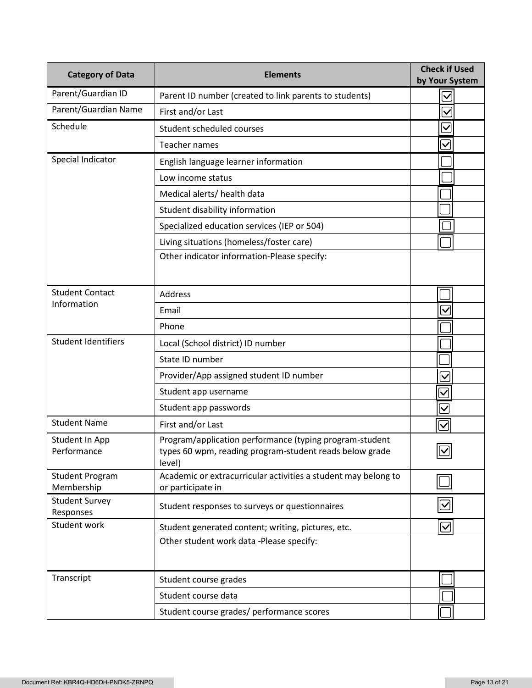| <b>Category of Data</b>                                   | <b>Elements</b>                                                                                                              | <b>Check if Used</b><br>by Your System |
|-----------------------------------------------------------|------------------------------------------------------------------------------------------------------------------------------|----------------------------------------|
| Parent/Guardian ID                                        | Parent ID number (created to link parents to students)                                                                       | $\overline{\checkmark}$                |
| Parent/Guardian Name                                      | First and/or Last                                                                                                            | $\checkmark$                           |
| Schedule                                                  | Student scheduled courses                                                                                                    | $\overline{\vee}$                      |
|                                                           | <b>Teacher names</b>                                                                                                         | $\checkmark$                           |
| Special Indicator<br>English language learner information |                                                                                                                              |                                        |
|                                                           | Low income status                                                                                                            |                                        |
|                                                           | Medical alerts/ health data                                                                                                  |                                        |
|                                                           | Student disability information                                                                                               |                                        |
|                                                           | Specialized education services (IEP or 504)                                                                                  |                                        |
|                                                           | Living situations (homeless/foster care)                                                                                     |                                        |
|                                                           | Other indicator information-Please specify:                                                                                  |                                        |
| <b>Student Contact</b>                                    | <b>Address</b>                                                                                                               |                                        |
| Information                                               | Email                                                                                                                        | $\checkmark$                           |
|                                                           | Phone                                                                                                                        |                                        |
| <b>Student Identifiers</b>                                | Local (School district) ID number                                                                                            |                                        |
|                                                           | State ID number                                                                                                              |                                        |
|                                                           | Provider/App assigned student ID number                                                                                      | $\checkmark$                           |
|                                                           | Student app username                                                                                                         | $\checkmark$                           |
|                                                           | Student app passwords                                                                                                        | $\overline{\checkmark}$                |
| <b>Student Name</b>                                       | First and/or Last                                                                                                            | $\bm{\nabla}$                          |
| Student In App<br>Performance                             | Program/application performance (typing program-student<br>types 60 wpm, reading program-student reads below grade<br>level) | $\boxed{\textcolor{blue}{\mathbb{Z}}}$ |
| <b>Student Program</b><br>Membership                      | Academic or extracurricular activities a student may belong to<br>or participate in                                          |                                        |
| <b>Student Survey</b><br>Responses                        | Student responses to surveys or questionnaires                                                                               |                                        |
| Student work                                              | Student generated content; writing, pictures, etc.                                                                           | $\bm{\mathsf{\Sigma}}$                 |
|                                                           | Other student work data -Please specify:                                                                                     |                                        |
| Transcript                                                | Student course grades                                                                                                        |                                        |
|                                                           | Student course data                                                                                                          |                                        |
|                                                           | Student course grades/ performance scores                                                                                    |                                        |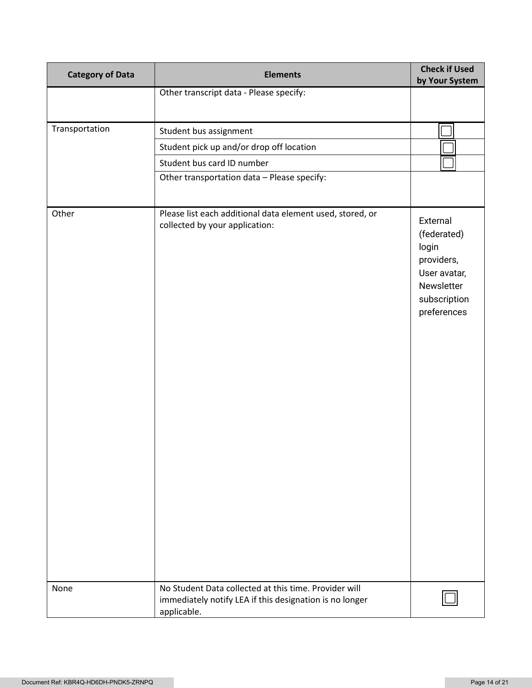| <b>Category of Data</b> | <b>Elements</b>                                                                                                                 | <b>Check if Used</b><br>by Your System                                                                      |
|-------------------------|---------------------------------------------------------------------------------------------------------------------------------|-------------------------------------------------------------------------------------------------------------|
|                         | Other transcript data - Please specify:                                                                                         |                                                                                                             |
|                         |                                                                                                                                 |                                                                                                             |
| Transportation          | Student bus assignment                                                                                                          |                                                                                                             |
|                         | Student pick up and/or drop off location                                                                                        |                                                                                                             |
|                         | Student bus card ID number                                                                                                      |                                                                                                             |
|                         | Other transportation data - Please specify:                                                                                     |                                                                                                             |
|                         |                                                                                                                                 |                                                                                                             |
| Other                   | Please list each additional data element used, stored, or<br>collected by your application:                                     | External<br>(federated)<br>login<br>providers,<br>User avatar,<br>Newsletter<br>subscription<br>preferences |
| None                    | No Student Data collected at this time. Provider will<br>immediately notify LEA if this designation is no longer<br>applicable. |                                                                                                             |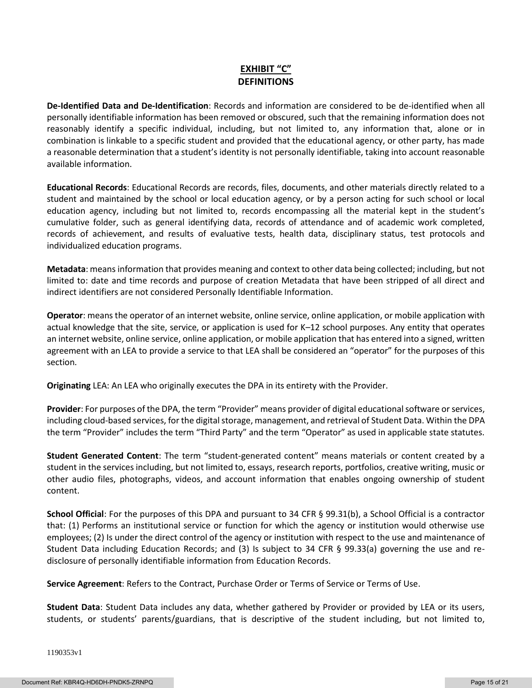# **EXHIBIT "C" DEFINITIONS**

**De-Identified Data and De-Identification**: Records and information are considered to be de-identified when all personally identifiable information has been removed or obscured, such that the remaining information does not reasonably identify a specific individual, including, but not limited to, any information that, alone or in combination is linkable to a specific student and provided that the educational agency, or other party, has made a reasonable determination that a student's identity is not personally identifiable, taking into account reasonable available information.

**Educational Records**: Educational Records are records, files, documents, and other materials directly related to a student and maintained by the school or local education agency, or by a person acting for such school or local education agency, including but not limited to, records encompassing all the material kept in the student's cumulative folder, such as general identifying data, records of attendance and of academic work completed, records of achievement, and results of evaluative tests, health data, disciplinary status, test protocols and individualized education programs.

**Metadata**: means information that provides meaning and context to other data being collected; including, but not limited to: date and time records and purpose of creation Metadata that have been stripped of all direct and indirect identifiers are not considered Personally Identifiable Information.

**Operator**: means the operator of an internet website, online service, online application, or mobile application with actual knowledge that the site, service, or application is used for K–12 school purposes. Any entity that operates an internet website, online service, online application, or mobile application that has entered into a signed, written agreement with an LEA to provide a service to that LEA shall be considered an "operator" for the purposes of this section.

**Originating** LEA: An LEA who originally executes the DPA in its entirety with the Provider.

**Provider**: For purposes of the DPA, the term "Provider" means provider of digital educational software or services, including cloud-based services, for the digital storage, management, and retrieval of Student Data. Within the DPA the term "Provider" includes the term "Third Party" and the term "Operator" as used in applicable state statutes.

**Student Generated Content**: The term "student-generated content" means materials or content created by a student in the services including, but not limited to, essays, research reports, portfolios, creative writing, music or other audio files, photographs, videos, and account information that enables ongoing ownership of student content.

**School Official**: For the purposes of this DPA and pursuant to 34 CFR § 99.31(b), a School Official is a contractor that: (1) Performs an institutional service or function for which the agency or institution would otherwise use employees; (2) Is under the direct control of the agency or institution with respect to the use and maintenance of Student Data including Education Records; and (3) Is subject to 34 CFR § 99.33(a) governing the use and redisclosure of personally identifiable information from Education Records.

**Service Agreement**: Refers to the Contract, Purchase Order or Terms of Service or Terms of Use.

**Student Data**: Student Data includes any data, whether gathered by Provider or provided by LEA or its users, students, or students' parents/guardians, that is descriptive of the student including, but not limited to,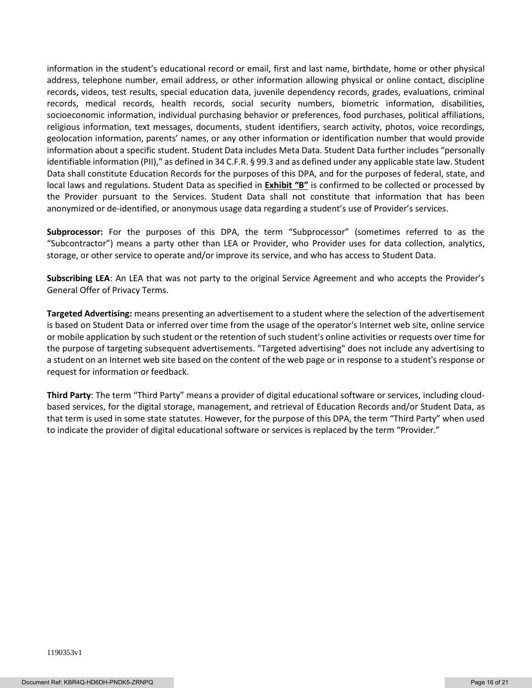information in the student's educational record or email, first and last name, birthdate, home or other physical address, telephone number, email address, or other information allowing physical or online contact, discipline records, videos, test results, special education data, juvenile dependency records, grades, evaluations, criminal records, medical records, health records, social security numbers, biometric information, disabilities, socioeconomic information, individual purchasing behavior or preferences, food purchases, political affiliations, religious information, text messages, documents, student identifiers, search activity, photos, voice recordings, geolocation information, parents' names, or any other information or identification number that would provide information about a specific student. Student Data includes Meta Data. Student Data further includes "personally identifiable information (PII)," as defined in 34 C.F.R. § 99.3 and as defined under any applicable state law. Student Data shall constitute Education Records for the purposes of this DPA, and for the purposes of federal, state, and local laws and regulations. Student Data as specified in **Exhibit "B"** is confirmed to be collected or processed by the Provider pursuant to the Services. Student Data shall not constitute that information that has been anonymized or de-identified, or anonymous usage data regarding a student's use of Provider's services.

**Subprocessor:** For the purposes of this DPA, the term "Subprocessor" (sometimes referred to as the "Subcontractor") means a party other than LEA or Provider, who Provider uses for data collection, analytics, storage, or other service to operate and/or improve its service, and who has access to Student Data.

**Subscribing LEA**: An LEA that was not party to the original Service Agreement and who accepts the Provider's General Offer of Privacy Terms.

**Targeted Advertising:** means presenting an advertisement to a student where the selection of the advertisement is based on Student Data or inferred over time from the usage of the operator's Internet web site, online service or mobile application by such student or the retention of such student's online activities or requests over time for the purpose of targeting subsequent advertisements. "Targeted advertising" does not include any advertising to a student on an Internet web site based on the content of the web page or in response to a student's response or request for information or feedback.

**Third Party**: The term "Third Party" means a provider of digital educational software or services, including cloudbased services, for the digital storage, management, and retrieval of Education Records and/or Student Data, as that term is used in some state statutes. However, for the purpose of this DPA, the term "Third Party" when used to indicate the provider of digital educational software or services is replaced by the term "Provider."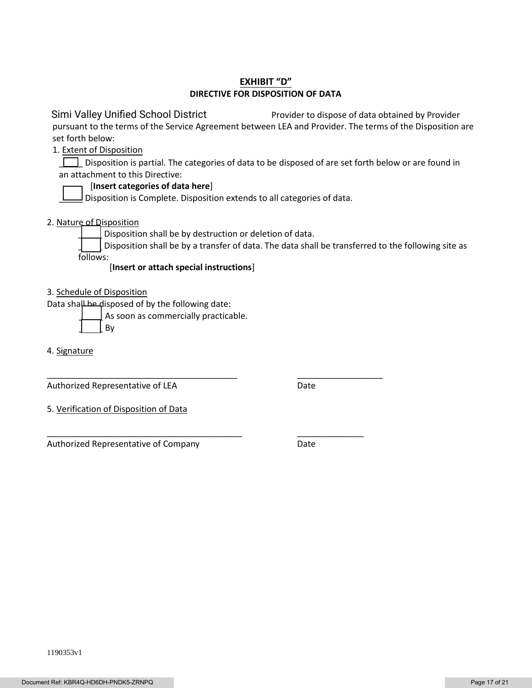### **EXHIBIT "D" DIRECTIVE FOR DISPOSITION OF DATA**

 Provider to dispose of data obtained by Provider pursuant to the terms of the Service Agreement between LEA and Provider. The terms of the Disposition are set forth below: Simi Valley Unified School District

1. Extent of Disposition

Disposition is partial. The categories of data to be disposed of are set forth below or are found in an attachment to this Directive:

### [**Insert categories of data here**]

 $\Box$  Disposition is Complete. Disposition extends to all categories of data.

2. Nature of Disposition

Disposition shall be by destruction or deletion of data.

\_\_\_\_\_\_\_\_\_\_\_\_\_\_\_\_\_\_\_\_\_\_\_\_\_\_\_\_\_\_\_\_\_\_\_\_\_\_\_\_ \_\_\_\_\_\_\_\_\_\_\_\_\_\_\_\_\_\_

\_\_\_\_\_\_\_\_\_\_\_\_\_\_\_\_\_\_\_\_\_\_\_\_\_\_\_\_\_\_\_\_\_\_\_\_\_\_\_\_\_ \_\_\_\_\_\_\_\_\_\_\_\_\_\_

Disposition shall be by a transfer of data. The data shall be transferred to the following site as follows:

[**Insert or attach special instructions**]

3. Schedule of Disposition

Data shall be disposed of by the following date:

As soon as commercially practicable.

\_\_\_\_\_ By

4. Signature

Authorized Representative of LEA Date

5. Verification of Disposition of Data

Authorized Representative of Company **Date**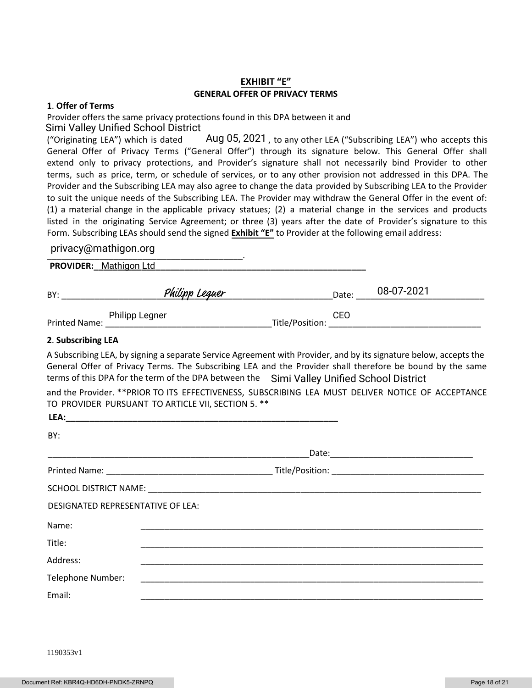### **EXHIBIT "E" GENERAL OFFER OF PRIVACY TERMS**

#### **1**. **Offer of Terms**

Provider offers the same privacy protections found in this DPA between it and Simi Valley Unified School District

("Originating LEA") which is dated  $\hskip1cm \text{Aug 05, 2021}$ , to any other LEA ("Subscribing LEA") who accepts this General Offer of Privacy Terms ("General Offer") through its signature below. This General Offer shall extend only to privacy protections, and Provider's signature shall not necessarily bind Provider to other terms, such as price, term, or schedule of services, or to any other provision not addressed in this DPA. The Provider and the Subscribing LEA may also agree to change the data provided by Subscribing LEA to the Provider to suit the unique needs of the Subscribing LEA. The Provider may withdraw the General Offer in the event of: (1) a material change in the applicable privacy statues; (2) a material change in the services and products listed in the originating Service Agreement; or three (3) years after the date of Provider's signature to this Form. Subscribing LEAs should send the signed **Exhibit "E"** to Provider at the following email address:

#### privacy@mathigon.org

pmacy@mamgomorg **PROVIDER:\_\_\_\_\_\_\_\_\_\_\_\_\_\_\_\_\_\_\_\_\_\_\_\_\_\_\_\_\_\_\_\_\_\_\_\_\_\_\_\_\_\_\_\_\_\_\_\_\_\_\_\_\_\_\_\_\_** Mathigon Ltd BY: \_\_\_\_\_\_\_\_\_\_\_\_\_\_\_\_\_\_\_\_\_\_\_\_\_\_\_\_\_\_\_\_\_\_\_\_\_\_\_\_\_\_\_\_\_\_\_\_\_\_\_\_\_\_\_\_\_Date: \_\_\_\_\_\_\_\_\_\_\_\_\_\_\_\_\_\_\_\_\_\_\_\_\_\_\_ 08-07-2021

Printed Name: \_\_\_\_\_\_\_\_\_\_\_\_\_\_\_\_\_\_\_\_\_\_\_\_\_\_\_\_\_\_\_\_\_\_\_Title/Position: \_\_\_\_\_\_\_\_\_\_\_\_\_\_\_\_\_\_\_\_\_\_\_\_\_\_\_\_\_\_\_\_

#### **2**. **Subscribing LEA**

A Subscribing LEA, by signing a separate Service Agreement with Provider, and by its signature below, accepts the General Offer of Privacy Terms. The Subscribing LEA and the Provider shall therefore be bound by the same terms of this DPA for the term of the DPA between the Simi Valley Unified School District

CEO\_<br>\_\_\_\_\_ Title/Position: \_\_\_\_\_

and the Provider. \*\*PRIOR TO ITS EFFECTIVENESS, SUBSCRIBING LEA MUST DELIVER NOTICE OF ACCEPTANCE TO PROVIDER PURSUANT TO ARTICLE VII, SECTION 5. \*\*

| LEA:                              |  |
|-----------------------------------|--|
| BY:                               |  |
|                                   |  |
|                                   |  |
|                                   |  |
| DESIGNATED REPRESENTATIVE OF LEA: |  |
| Name:                             |  |
| Title:                            |  |
| Address:                          |  |
| Telephone Number:                 |  |
| Email:                            |  |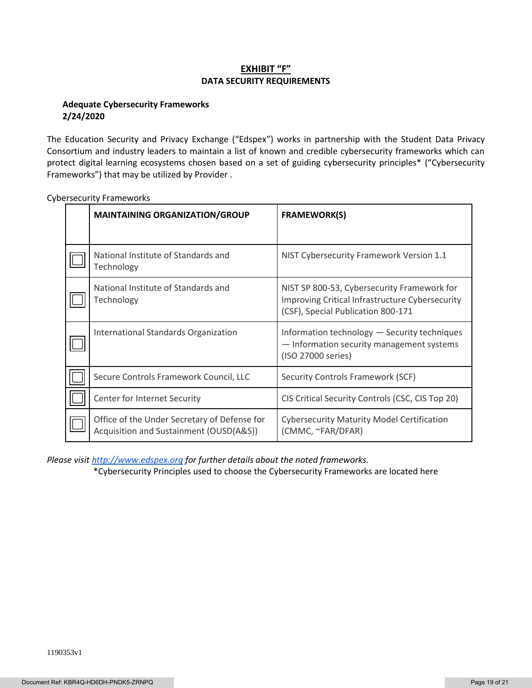### **EXHIBIT "F" DATA SECURITY REQUIREMENTS**

#### **Adequate Cybersecurity Frameworks 2/24/2020**

The Education Security and Privacy Exchange ("Edspex") works in partnership with the Student Data Privacy Consortium and industry leaders to maintain a list of known and credible cybersecurity frameworks which can protect digital learning ecosystems chosen based on a set of guiding cybersecurity principles\* ("Cybersecurity Frameworks") that may be utilized by Provider .

| <b>MAINTAINING ORGANIZATION/GROUP</b>                                                   | <b>FRAMEWORK(S)</b>                                                                                                                  |
|-----------------------------------------------------------------------------------------|--------------------------------------------------------------------------------------------------------------------------------------|
|                                                                                         |                                                                                                                                      |
| National Institute of Standards and<br>Technology                                       | NIST Cybersecurity Framework Version 1.1                                                                                             |
| National Institute of Standards and<br>Technology                                       | NIST SP 800-53, Cybersecurity Framework for<br>Improving Critical Infrastructure Cybersecurity<br>(CSF), Special Publication 800-171 |
| International Standards Organization                                                    | Information technology - Security techniques<br>- Information security management systems<br>(ISO 27000 series)                      |
| Secure Controls Framework Council, LLC                                                  | Security Controls Framework (SCF)                                                                                                    |
| Center for Internet Security                                                            | CIS Critical Security Controls (CSC, CIS Top 20)                                                                                     |
| Office of the Under Secretary of Defense for<br>Acquisition and Sustainment (OUSD(A&S)) | <b>Cybersecurity Maturity Model Certification</b><br>(CMMC, ~FAR/DFAR)                                                               |

Cybersecurity Frameworks

*Please visi[t http://www.edspex.org](http://www.edspex.org/) for further details about the noted frameworks.*

\*Cybersecurity Principles used to choose the Cybersecurity Frameworks are located here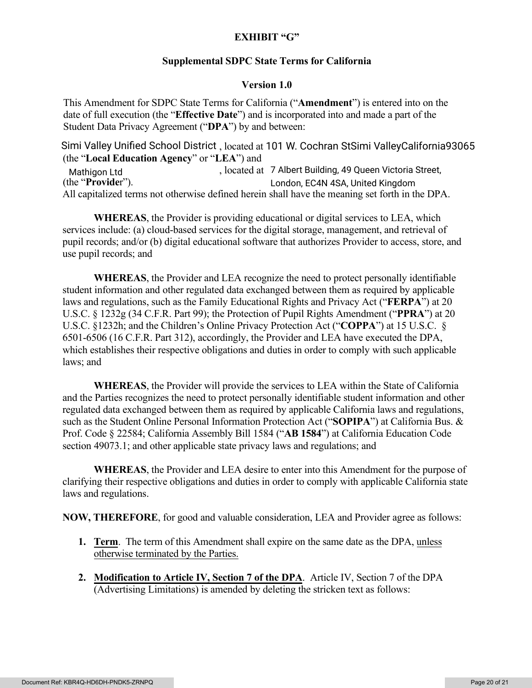# **EXHIBIT "G"**

## **Supplemental SDPC State Terms for California**

## **Version 1.0**

This Amendment for SDPC State Terms for California ("**Amendment**") is entered into on the date of full execution (the "**Effective Date**") and is incorporated into and made a part of the Student Data Privacy Agreement ("**DPA**") by and between:

Simi Valley Unified School District, located at 101 W. Cochran StSimi ValleyCalifornia93065 (the "**Local Education Agency**" or "**LEA**") and , located at Mathigon Ltd 7 Albert Building, 49 Queen Victoria Street, (the "**Provide**r"). All capitalized terms not otherwise defined herein shall have the meaning set forth in the DPA. London, EC4N 4SA, United Kingdom

**WHEREAS**, the Provider is providing educational or digital services to LEA, which services include: (a) cloud-based services for the digital storage, management, and retrieval of pupil records; and/or (b) digital educational software that authorizes Provider to access, store, and use pupil records; and

**WHEREAS**, the Provider and LEA recognize the need to protect personally identifiable student information and other regulated data exchanged between them as required by applicable laws and regulations, such as the Family Educational Rights and Privacy Act ("**FERPA**") at 20 U.S.C. § 1232g (34 C.F.R. Part 99); the Protection of Pupil Rights Amendment ("**PPRA**") at 20 U.S.C. §1232h; and the Children's Online Privacy Protection Act ("**COPPA**") at 15 U.S.C. § 6501-6506 (16 C.F.R. Part 312), accordingly, the Provider and LEA have executed the DPA, which establishes their respective obligations and duties in order to comply with such applicable laws; and

**WHEREAS**, the Provider will provide the services to LEA within the State of California and the Parties recognizes the need to protect personally identifiable student information and other regulated data exchanged between them as required by applicable California laws and regulations, such as the Student Online Personal Information Protection Act ("**SOPIPA**") at California Bus. & Prof. Code § 22584; California Assembly Bill 1584 ("**AB 1584**") at California Education Code section 49073.1; and other applicable state privacy laws and regulations; and

**WHEREAS**, the Provider and LEA desire to enter into this Amendment for the purpose of clarifying their respective obligations and duties in order to comply with applicable California state laws and regulations.

**NOW, THEREFORE**, for good and valuable consideration, LEA and Provider agree as follows:

- **1. Term**. The term of this Amendment shall expire on the same date as the DPA, unless otherwise terminated by the Parties.
- **2. Modification to Article IV, Section 7 of the DPA**. Article IV, Section 7 of the DPA (Advertising Limitations) is amended by deleting the stricken text as follows: